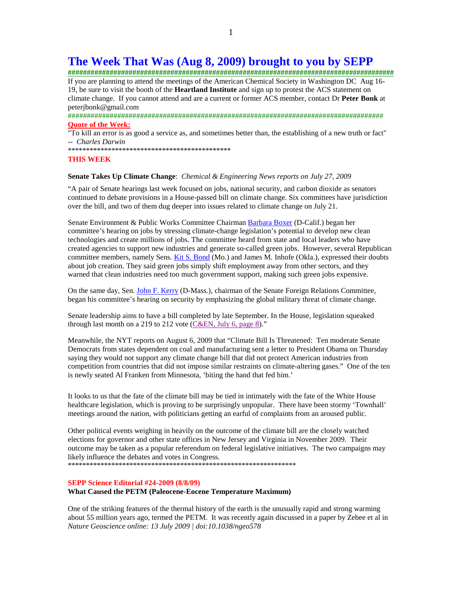**The Week That Was (Aug 8, 2009) brought to you by SEPP ######################################################################################**

If you are planning to attend the meetings of the American Chemical Society in Washington DC Aug 16- 19, be sure to visit the booth of the **Heartland Institute** and sign up to protest the ACS statement on climate change. If you cannot attend and are a current or former ACS member, contact Dr **Peter Bonk** at peterjbonk@gmail.com

################################################################################### **Quote of the Week:**

"To kill an error is as good a service as, and sometimes better than, the establishing of a new truth or fact" -- *Charles Darwin*

\*\*\*\*\*\*\*\*\*\*\*\*\*\*\*\*\*\*\*\*\*\*\*\*\*\*\*\*\*\*\*\*\*\*\*\*\*\*\*\*\*\*\*\*\*

#### **THIS WEEK**

#### **Senate Takes Up Climate Change**: *Chemical & Engineering News reports on July 27, 2009*

"A pair of Senate hearings last week focused on jobs, national security, and carbon dioxide as senators continued to debate provisions in a House-passed bill on climate change. Six committees have jurisdiction over the bill, and two of them dug deeper into issues related to climate change on July 21.

Senate Environment & Public Works Committee Chairman Barbara Boxer (D-Calif.) began her committee's hearing on jobs by stressing climate-change legislation's potential to develop new clean technologies and create millions of jobs. The committee heard from state and local leaders who have created agencies to support new industries and generate so-called green jobs. However, several Republican committee members, namely Sens. Kit S. Bond (Mo.) and James M. Inhofe (Okla.), expressed their doubts about job creation. They said green jobs simply shift employment away from other sectors, and they warned that clean industries need too much government support, making such green jobs expensive.

On the same day, Sen. John F. Kerry (D-Mass.), chairman of the Senate Foreign Relations Committee, began his committee's hearing on security by emphasizing the global military threat of climate change.

Senate leadership aims to have a bill completed by late September. In the House, legislation squeaked through last month on a 219 to 212 vote (C&EN, July 6, page 8)."

Meanwhile, the NYT reports on August 6, 2009 that "Climate Bill Is Threatened: Ten moderate Senate Democrats from states dependent on coal and manufacturing sent a letter to President Obama on Thursday saying they would not support any climate change bill that did not protect American industries from competition from countries that did not impose similar restraints on climate-altering gases." One of the ten is newly seated Al Franken from Minnesota, 'biting the hand that fed him.'

It looks to us that the fate of the climate bill may be tied in intimately with the fate of the White House healthcare legislation, which is proving to be surprisingly unpopular. There have been stormy 'Townhall' meetings around the nation, with politicians getting an earful of complaints from an aroused public.

Other political events weighing in heavily on the outcome of the climate bill are the closely watched elections for governor and other state offices in New Jersey and Virginia in November 2009. Their outcome may be taken as a popular referendum on federal legislative initiatives. The two campaigns may likely influence the debates and votes in Congress.

\*\*\*\*\*\*\*\*\*\*\*\*\*\*\*\*\*\*\*\*\*\*\*\*\*\*\*\*\*\*\*\*\*\*\*\*\*\*\*\*\*\*\*\*\*\*\*\*\*\*\*\*\*\*\*\*\*\*\*\*\*\*\*

### **SEPP Science Editorial #24-2009 (8/8/09)**

### **What Caused the PETM (Paleocene-Eocene Temperature Maximum)**

One of the striking features of the thermal history of the earth is the unusually rapid and strong warming about 55 million years ago, termed the PETM. It was recently again discussed in a paper by Zebee et al in *Nature Geoscience online: 13 July 2009 | doi:10.1038/ngeo578*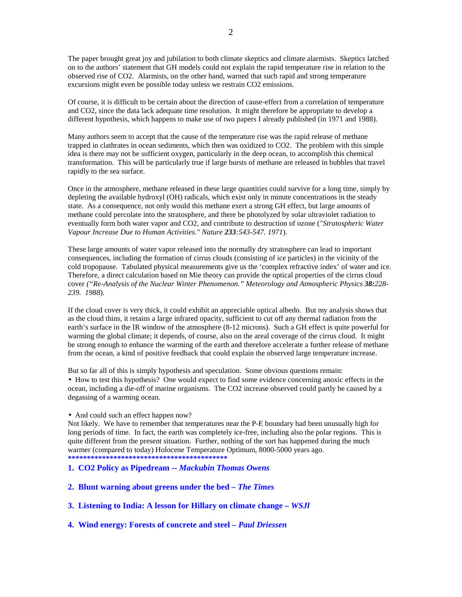The paper brought great joy and jubilation to both climate skeptics and climate alarmists. Skeptics latched on to the authors' statement that GH models could not explain the rapid temperature rise in relation to the observed rise of CO2. Alarmists, on the other hand, warned that such rapid and strong temperature excursions might even be possible today unless we restrain CO2 emissions.

Of course, it is difficult to be certain about the direction of cause-effect from a correlation of temperature and CO2, since the data lack adequate time resolution. It might therefore be appropriate to develop a different hypothesis, which happens to make use of two papers I already published (in 1971 and 1988).

Many authors seem to accept that the cause of the temperature rise was the rapid release of methane trapped in clathrates in ocean sediments, which then was oxidized to CO2. The problem with this simple idea is there may not be sufficient oxygen, particularly in the deep ocean, to accomplish this chemical transformation. This will be particularly true if large bursts of methane are released in bubbles that travel rapidly to the sea surface.

Once in the atmosphere, methane released in these large quantities could survive for a long time, simply by depleting the available hydroxyl (OH) radicals, which exist only in minute concentrations in the steady state. As a consequence, not only would this methane exert a strong GH effect, but large amounts of methane could percolate into the stratosphere, and there be photolyzed by solar ultraviolet radiation to eventually form both water vapor and CO2, and contribute to destruction of ozone (*"Stratospheric Water Vapour Increase Due to Human Activities." Nature 233:543-547. 1971*).

These large amounts of water vapor released into the normally dry stratosphere can lead to important consequences, including the formation of cirrus clouds (consisting of ice particles) in the vicinity of the cold tropopause. Tabulated physical measurements give us the 'complex refractive index' of water and ice. Therefore, a direct calculation based on Mie theory can provide the optical properties of the cirrus cloud cover *("Re-Analysis of the Nuclear Winter Phenomenon." Meteorology and Atmospheric Physics 38:228- 239. 1988*).

If the cloud cover is very thick, it could exhibit an appreciable optical albedo. But my analysis shows that as the cloud thins, it retains a large infrared opacity, sufficient to cut off any thermal radiation from the earth's surface in the IR window of the atmosphere (8-12 microns). Such a GH effect is quite powerful for warming the global climate; it depends, of course, also on the areal coverage of the cirrus cloud. It might be strong enough to enhance the warming of the earth and therefore accelerate a further release of methane from the ocean, a kind of positive feedback that could explain the observed large temperature increase.

But so far all of this is simply hypothesis and speculation. Some obvious questions remain:

• How to test this hypothesis? One would expect to find some evidence concerning anoxic effects in the ocean, including a die-off of marine organisms. The CO2 increase observed could partly be caused by a degassing of a warming ocean.

• And could such an effect happen now?

Not likely. We have to remember that temperatures near the P-E boundary had been unusually high for long periods of time. In fact, the earth was completely ice-free, including also the polar regions. This is quite different from the present situation. Further, nothing of the sort has happened during the much warmer (compared to today) Holocene Temperature Optimum, 8000-5000 years ago. **\*\*\*\*\*\*\*\*\*\*\*\*\*\*\*\*\*\*\*\*\*\*\*\*\*\*\*\*\*\*\*\*\*\*\*\*\*\*\*\*\*\*** 

**1. CO2 Policy as Pipedream --** *Mackubin Thomas Owens*

**2. Blunt warning about greens under the bed –** *The Times*

**3. Listening to India: A lesson for Hillary on climate change** *– WSJl*

**4. Wind energy: Forests of concrete and steel –** *Paul Driessen*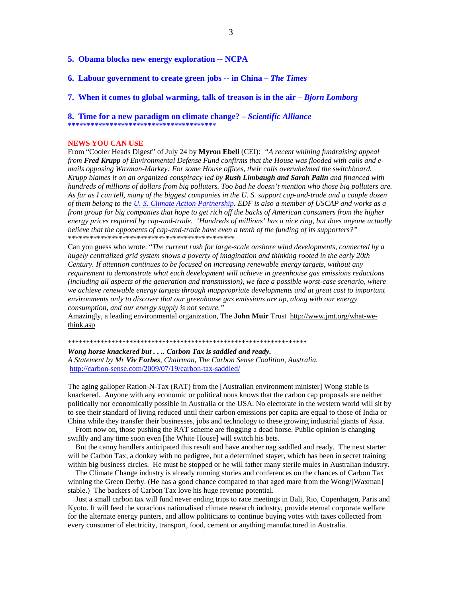- **5. Obama blocks new energy exploration -- NCPA**
- **6. Labour government to create green jobs -- in China** *The Times*
- **7. When it comes to global warming, talk of treason is in the air** *Bjorn Lomborg*

**8. Time for a new paradigm on climate change? –** *Scientific Alliance* **\*\*\*\*\*\*\*\*\*\*\*\*\*\*\*\*\*\*\*\*\*\*\*\*\*\*\*\*\*\*\*\*\*\*\*\*\*\*\***

#### **NEWS YOU CAN USE**

From "Cooler Heads Digest" of July 24 by **Myron Ebell** (CEI): *"A recent whining fundraising appeal from Fred Krupp of Environmental Defense Fund confirms that the House was flooded with calls and emails opposing Waxman-Markey: For some House offices, their calls overwhelmed the switchboard. Krupp blames it on an organized conspiracy led by Rush Limbaugh and Sarah Palin and financed with hundreds of millions of dollars from big polluters. Too bad he doesn't mention who those big polluters are. As far as I can tell, many of the biggest companies in the U. S. support cap-and-trade and a couple dozen of them belong to the U. S. Climate Action Partnership. EDF is also a member of USCAP and works as a front group for big companies that hope to get rich off the backs of American consumers from the higher energy prices required by cap-and-trade. 'Hundreds of millions' has a nice ring, but does anyone actually believe that the opponents of cap-and-trade have even a tenth of the funding of its supporters?"*  \*\*\*\*\*\*\*\*\*\*\*\*\*\*\*\*\*\*\*\*\*\*\*\*\*\*\*\*\*\*\*\*\*\*\*\*\*\*\*\*\*\*\*\*\*\*

Can you guess who wrote: "*The current rush for large-scale onshore wind developments, connected by a hugely centralized grid system shows a poverty of imagination and thinking rooted in the early 20th Century. If attention continues to be focused on increasing renewable energy targets, without any requirement to demonstrate what each development will achieve in greenhouse gas emissions reductions (including all aspects of the generation and transmission), we face a possible worst-case scenario, where we achieve renewable energy targets through inappropriate developments and at great cost to important environments only to discover that our greenhouse gas emissions are up, along with our energy consumption, and our energy supply is not secure."* 

Amazingly, a leading environmental organization, The **John Muir** Trust http://www.jmt.org/what-wethink.asp

\*\*\*\*\*\*\*\*\*\*\*\*\*\*\*\*\*\*\*\*\*\*\*\*\*\*\*\*\*\*\*\*\*\*\*\*\*\*\*\*\*\*\*\*\*\*\*\*\*\*\*\*\*\*\*\*\*\*\*\*\*\*\*\*\*\*

*Wong horse knackered but . . .. Carbon Tax is saddled and ready. A Statement by Mr Viv Forbes, Chairman, The Carbon Sense Coalition, Australia.*  http://carbon-sense.com/2009/07/19/carbon-tax-saddled/

The aging galloper Ration-N-Tax (RAT) from the [Australian environment minister] Wong stable is knackered. Anyone with any economic or political nous knows that the carbon cap proposals are neither politically nor economically possible in Australia or the USA. No electorate in the western world will sit by to see their standard of living reduced until their carbon emissions per capita are equal to those of India or China while they transfer their businesses, jobs and technology to these growing industrial giants of Asia.

 From now on, those pushing the RAT scheme are flogging a dead horse. Public opinion is changing swiftly and any time soon even [the White House] will switch his bets.

 But the canny handlers anticipated this result and have another nag saddled and ready. The next starter will be Carbon Tax, a donkey with no pedigree, but a determined stayer, which has been in secret training within big business circles. He must be stopped or he will father many sterile mules in Australian industry.

 The Climate Change industry is already running stories and conferences on the chances of Carbon Tax winning the Green Derby. (He has a good chance compared to that aged mare from the Wong/[Waxman] stable.) The backers of Carbon Tax love his huge revenue potential.

 Just a small carbon tax will fund never ending trips to race meetings in Bali, Rio, Copenhagen, Paris and Kyoto. It will feed the voracious nationalised climate research industry, provide eternal corporate welfare for the alternate energy punters, and allow politicians to continue buying votes with taxes collected from every consumer of electricity, transport, food, cement or anything manufactured in Australia.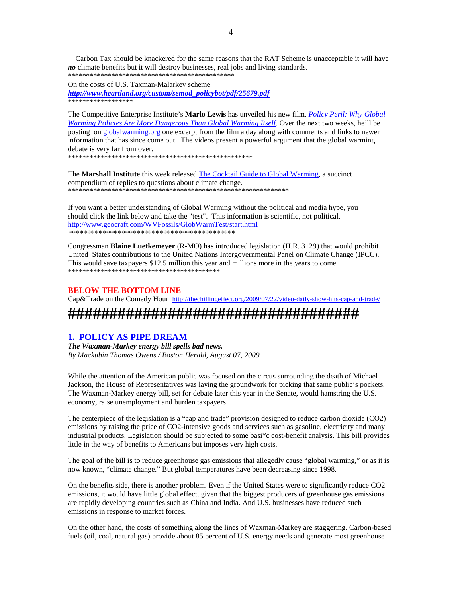Carbon Tax should be knackered for the same reasons that the RAT Scheme is unacceptable it will have *no* climate benefits but it will destroy businesses, real jobs and living standards. \*\*\*\*\*\*\*\*\*\*\*\*\*\*\*\*\*\*\*\*\*\*\*\*\*\*\*\*\*\*\*\*\*\*\*\*\*\*\*\*\*\*\*\*\*\*

On the costs of U.S. Taxman-Malarkey scheme

*http://www.heartland.org/custom/semod\_policybot/pdf/25679.pdf* \*\*\*\*\*\*\*\*\*\*\*\*\*\*\*\*\*\*

The Competitive Enterprise Institute's **Marlo Lewis** has unveiled his new film, *Policy Peril: Why Global Warming Policies Are More Dangerous Than Global Warming Itself*. Over the next two weeks, he'll be posting on globalwarming.org one excerpt from the film a day along with comments and links to newer information that has since come out. The videos present a powerful argument that the global warming debate is very far from over.

\*\*\*\*\*\*\*\*\*\*\*\*\*\*\*\*\*\*\*\*\*\*\*\*\*\*\*\*\*\*\*\*\*\*\*\*\*\*\*\*\*\*\*\*\*\*\*\*\*\*\*

The **Marshall Institute** this week released The Cocktail Guide to Global Warming, a succinct compendium of replies to questions about climate change. \*\*\*\*\*\*\*\*\*\*\*\*\*\*\*\*\*\*\*\*\*\*\*\*\*\*\*\*\*\*\*\*\*\*\*\*\*\*\*\*\*\*\*\*\*\*\*\*\*\*\*\*\*\*\*\*\*\*\*\*\*

If you want a better understanding of Global Warming without the political and media hype, you should click the link below and take the "test". This information is scientific, not political. http://www.geocraft.com/WVFossils/GlobWarmTest/start.html *\*\*\*\*\*\*\*\*\*\*\*\*\*\*\*\*\*\*\*\*\*\*\*\*\*\*\*\*\*\*\*\*\*\*\*\*\*\*\*\*\*\*\*\** 

Congressman **Blaine Luetkemeyer** (R-MO) has introduced legislation (H.R. 3129) that would prohibit United States contributions to the United Nations Intergovernmental Panel on Climate Change (IPCC). This would save taxpayers \$12.5 million this year and millions more in the years to come. \*\*\*\*\*\*\*\*\*\*\*\*\*\*\*\*\*\*\*\*\*\*\*\*\*\*\*\*\*\*\*\*\*\*\*\*\*\*\*\*\*\*

## **BELOW THE BOTTOM LINE**

Cap&Trade on the Comedy Hour http://thechillingeffect.org/2009/07/22/video-daily-show-hits-cap-and-trade/ **###################################** 

# **1. POLICY AS PIPE DREAM**

*The Waxman-Markey energy bill spells bad news. By Mackubin Thomas Owens / Boston Herald, August 07, 2009* 

While the attention of the American public was focused on the circus surrounding the death of Michael Jackson, the House of Representatives was laying the groundwork for picking that same public's pockets. The Waxman-Markey energy bill, set for debate later this year in the Senate, would hamstring the U.S. economy, raise unemployment and burden taxpayers.

The centerpiece of the legislation is a "cap and trade" provision designed to reduce carbon dioxide (CO2) emissions by raising the price of CO2-intensive goods and services such as gasoline, electricity and many industrial products. Legislation should be subjected to some basi\*c cost-benefit analysis. This bill provides little in the way of benefits to Americans but imposes very high costs.

The goal of the bill is to reduce greenhouse gas emissions that allegedly cause "global warming," or as it is now known, "climate change." But global temperatures have been decreasing since 1998.

On the benefits side, there is another problem. Even if the United States were to significantly reduce CO2 emissions, it would have little global effect, given that the biggest producers of greenhouse gas emissions are rapidly developing countries such as China and India. And U.S. businesses have reduced such emissions in response to market forces.

On the other hand, the costs of something along the lines of Waxman-Markey are staggering. Carbon-based fuels (oil, coal, natural gas) provide about 85 percent of U.S. energy needs and generate most greenhouse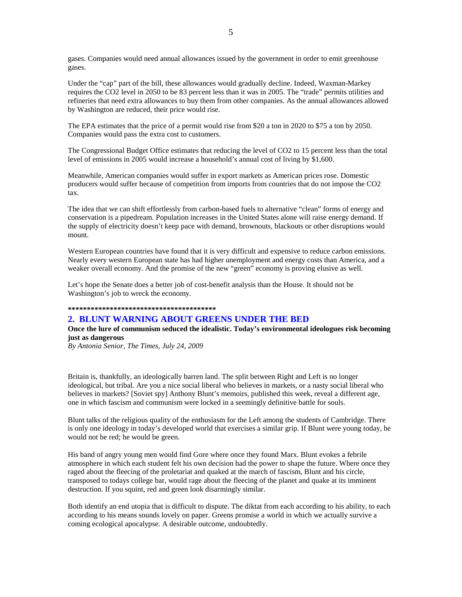gases. Companies would need annual allowances issued by the government in order to emit greenhouse gases.

Under the "cap" part of the bill, these allowances would gradually decline. Indeed, Waxman-Markey requires the CO2 level in 2050 to be 83 percent less than it was in 2005. The "trade" permits utilities and refineries that need extra allowances to buy them from other companies. As the annual allowances allowed by Washington are reduced, their price would rise.

The EPA estimates that the price of a permit would rise from \$20 a ton in 2020 to \$75 a ton by 2050. Companies would pass the extra cost to customers.

The Congressional Budget Office estimates that reducing the level of CO2 to 15 percent less than the total level of emissions in 2005 would increase a household's annual cost of living by \$1,600.

Meanwhile, American companies would suffer in export markets as American prices rose. Domestic producers would suffer because of competition from imports from countries that do not impose the CO2 tax.

The idea that we can shift effortlessly from carbon-based fuels to alternative "clean" forms of energy and conservation is a pipedream. Population increases in the United States alone will raise energy demand. If the supply of electricity doesn't keep pace with demand, brownouts, blackouts or other disruptions would mount.

Western European countries have found that it is very difficult and expensive to reduce carbon emissions. Nearly every western European state has had higher unemployment and energy costs than America, and a weaker overall economy. And the promise of the new "green" economy is proving elusive as well.

Let's hope the Senate does a better job of cost-benefit analysis than the House. It should not be Washington's job to wreck the economy.

### **\*\*\*\*\*\*\*\*\*\*\*\*\*\*\*\*\*\*\*\*\*\*\*\*\*\*\*\*\*\*\*\*\*\*\*\*\*\*\***

## **2. BLUNT WARNING ABOUT GREENS UNDER THE BED**

**Once the lure of communism seduced the idealistic. Today's environmental ideologues risk becoming just as dangerous** 

*By Antonia Senior, The Times, July 24, 2009* 

Britain is, thankfully, an ideologically barren land. The split between Right and Left is no longer ideological, but tribal. Are you a nice social liberal who believes in markets, or a nasty social liberal who believes in markets? [Soviet spy] Anthony Blunt's memoirs, published this week, reveal a different age, one in which fascism and communism were locked in a seemingly definitive battle for souls.

Blunt talks of the religious quality of the enthusiasm for the Left among the students of Cambridge. There is only one ideology in today's developed world that exercises a similar grip. If Blunt were young today, he would not be red; he would be green.

His band of angry young men would find Gore where once they found Marx. Blunt evokes a febrile atmosphere in which each student felt his own decision had the power to shape the future. Where once they raged about the fleecing of the proletariat and quaked at the march of fascism, Blunt and his circle, transposed to todays college bar, would rage about the fleecing of the planet and quake at its imminent destruction. If you squint, red and green look disarmingly similar.

Both identify an end utopia that is difficult to dispute. The diktat from each according to his ability, to each according to his means sounds lovely on paper. Greens promise a world in which we actually survive a coming ecological apocalypse. A desirable outcome, undoubtedly.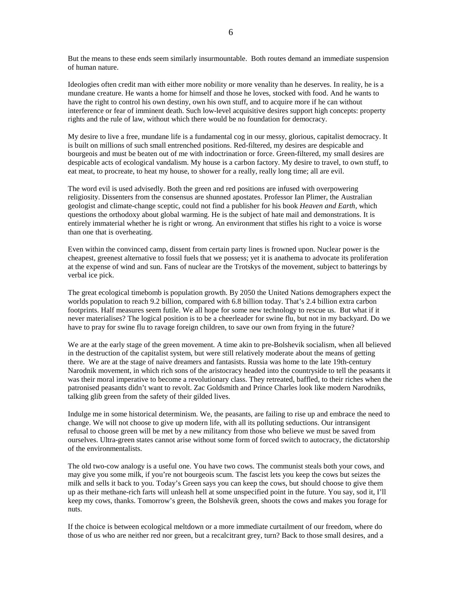But the means to these ends seem similarly insurmountable. Both routes demand an immediate suspension of human nature.

Ideologies often credit man with either more nobility or more venality than he deserves. In reality, he is a mundane creature. He wants a home for himself and those he loves, stocked with food. And he wants to have the right to control his own destiny, own his own stuff, and to acquire more if he can without interference or fear of imminent death. Such low-level acquisitive desires support high concepts: property rights and the rule of law, without which there would be no foundation for democracy.

My desire to live a free, mundane life is a fundamental cog in our messy, glorious, capitalist democracy. It is built on millions of such small entrenched positions. Red-filtered, my desires are despicable and bourgeois and must be beaten out of me with indoctrination or force. Green-filtered, my small desires are despicable acts of ecological vandalism. My house is a carbon factory. My desire to travel, to own stuff, to eat meat, to procreate, to heat my house, to shower for a really, really long time; all are evil.

The word evil is used advisedly. Both the green and red positions are infused with overpowering religiosity. Dissenters from the consensus are shunned apostates. Professor Ian Plimer, the Australian geologist and climate-change sceptic, could not find a publisher for his book *Heaven and Earth*, which questions the orthodoxy about global warming. He is the subject of hate mail and demonstrations. It is entirely immaterial whether he is right or wrong. An environment that stifles his right to a voice is worse than one that is overheating.

Even within the convinced camp, dissent from certain party lines is frowned upon. Nuclear power is the cheapest, greenest alternative to fossil fuels that we possess; yet it is anathema to advocate its proliferation at the expense of wind and sun. Fans of nuclear are the Trotskys of the movement, subject to batterings by verbal ice pick.

The great ecological timebomb is population growth. By 2050 the United Nations demographers expect the worlds population to reach 9.2 billion, compared with 6.8 billion today. That's 2.4 billion extra carbon footprints. Half measures seem futile. We all hope for some new technology to rescue us. But what if it never materialises? The logical position is to be a cheerleader for swine flu, but not in my backyard. Do we have to pray for swine flu to ravage foreign children, to save our own from frying in the future?

We are at the early stage of the green movement. A time akin to pre-Bolshevik socialism, when all believed in the destruction of the capitalist system, but were still relatively moderate about the means of getting there. We are at the stage of naive dreamers and fantasists. Russia was home to the late 19th-century Narodnik movement, in which rich sons of the aristocracy headed into the countryside to tell the peasants it was their moral imperative to become a revolutionary class. They retreated, baffled, to their riches when the patronised peasants didn't want to revolt. Zac Goldsmith and Prince Charles look like modern Narodniks, talking glib green from the safety of their gilded lives.

Indulge me in some historical determinism. We, the peasants, are failing to rise up and embrace the need to change. We will not choose to give up modern life, with all its polluting seductions. Our intransigent refusal to choose green will be met by a new militancy from those who believe we must be saved from ourselves. Ultra-green states cannot arise without some form of forced switch to autocracy, the dictatorship of the environmentalists.

The old two-cow analogy is a useful one. You have two cows. The communist steals both your cows, and may give you some milk, if you're not bourgeois scum. The fascist lets you keep the cows but seizes the milk and sells it back to you. Today's Green says you can keep the cows, but should choose to give them up as their methane-rich farts will unleash hell at some unspecified point in the future. You say, sod it, I'll keep my cows, thanks. Tomorrow's green, the Bolshevik green, shoots the cows and makes you forage for nuts.

If the choice is between ecological meltdown or a more immediate curtailment of our freedom, where do those of us who are neither red nor green, but a recalcitrant grey, turn? Back to those small desires, and a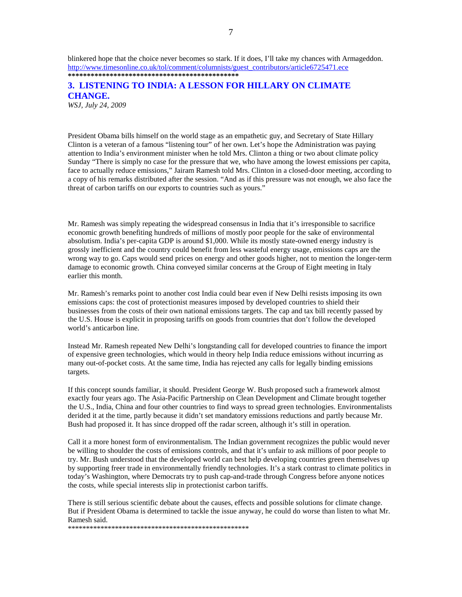blinkered hope that the choice never becomes so stark. If it does, I'll take my chances with Armageddon. http://www.timesonline.co.uk/tol/comment/columnists/guest\_contributors/article6725471.ece **\*\*\*\*\*\*\*\*\*\*\*\*\*\*\*\*\*\*\*\*\*\*\*\*\*\*\*\*\*\*\*\*\*\*\*\*\*\*\*\*\*\*\*\*\*** 

# **3. LISTENING TO INDIA: A LESSON FOR HILLARY ON CLIMATE CHANGE.**  *WSJ, July 24, 2009*

President Obama bills himself on the world stage as an empathetic guy, and Secretary of State Hillary Clinton is a veteran of a famous "listening tour" of her own. Let's hope the Administration was paying attention to India's environment minister when he told Mrs. Clinton a thing or two about climate policy Sunday "There is simply no case for the pressure that we, who have among the lowest emissions per capita, face to actually reduce emissions," Jairam Ramesh told Mrs. Clinton in a closed-door meeting, according to a copy of his remarks distributed after the session. "And as if this pressure was not enough, we also face the threat of carbon tariffs on our exports to countries such as yours."

Mr. Ramesh was simply repeating the widespread consensus in India that it's irresponsible to sacrifice economic growth benefiting hundreds of millions of mostly poor people for the sake of environmental absolutism. India's per-capita GDP is around \$1,000. While its mostly state-owned energy industry is grossly inefficient and the country could benefit from less wasteful energy usage, emissions caps are the wrong way to go. Caps would send prices on energy and other goods higher, not to mention the longer-term damage to economic growth. China conveyed similar concerns at the Group of Eight meeting in Italy earlier this month.

Mr. Ramesh's remarks point to another cost India could bear even if New Delhi resists imposing its own emissions caps: the cost of protectionist measures imposed by developed countries to shield their businesses from the costs of their own national emissions targets. The cap and tax bill recently passed by the U.S. House is explicit in proposing tariffs on goods from countries that don't follow the developed world's anticarbon line.

Instead Mr. Ramesh repeated New Delhi's longstanding call for developed countries to finance the import of expensive green technologies, which would in theory help India reduce emissions without incurring as many out-of-pocket costs. At the same time, India has rejected any calls for legally binding emissions targets.

If this concept sounds familiar, it should. President George W. Bush proposed such a framework almost exactly four years ago. The Asia-Pacific Partnership on Clean Development and Climate brought together the U.S., India, China and four other countries to find ways to spread green technologies. Environmentalists derided it at the time, partly because it didn't set mandatory emissions reductions and partly because Mr. Bush had proposed it. It has since dropped off the radar screen, although it's still in operation.

Call it a more honest form of environmentalism. The Indian government recognizes the public would never be willing to shoulder the costs of emissions controls, and that it's unfair to ask millions of poor people to try. Mr. Bush understood that the developed world can best help developing countries green themselves up by supporting freer trade in environmentally friendly technologies. It's a stark contrast to climate politics in today's Washington, where Democrats try to push cap-and-trade through Congress before anyone notices the costs, while special interests slip in protectionist carbon tariffs.

There is still serious scientific debate about the causes, effects and possible solutions for climate change. But if President Obama is determined to tackle the issue anyway, he could do worse than listen to what Mr. Ramesh said.

\*\*\*\*\*\*\*\*\*\*\*\*\*\*\*\*\*\*\*\*\*\*\*\*\*\*\*\*\*\*\*\*\*\*\*\*\*\*\*\*\*\*\*\*\*\*\*\*\*\*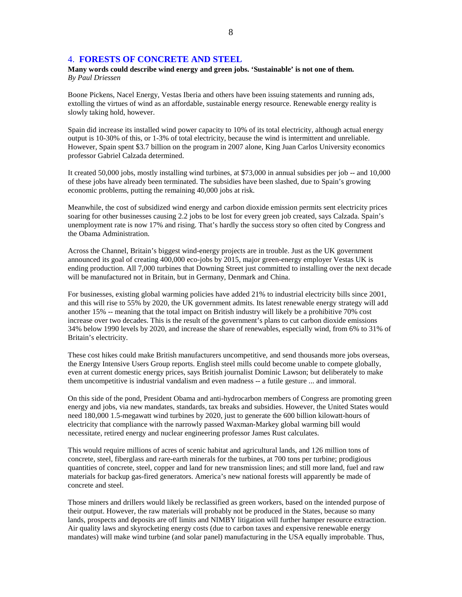## 4. **FORESTS OF CONCRETE AND STEEL**

## **Many words could describe wind energy and green jobs. 'Sustainable' is not one of them.**  *By Paul Driessen*

Boone Pickens, Nacel Energy, Vestas Iberia and others have been issuing statements and running ads, extolling the virtues of wind as an affordable, sustainable energy resource. Renewable energy reality is slowly taking hold, however.

Spain did increase its installed wind power capacity to 10% of its total electricity, although actual energy output is 10-30% of this, or 1-3% of total electricity, because the wind is intermittent and unreliable. However, Spain spent \$3.7 billion on the program in 2007 alone, King Juan Carlos University economics professor Gabriel Calzada determined.

It created 50,000 jobs, mostly installing wind turbines, at \$73,000 in annual subsidies per job -- and 10,000 of these jobs have already been terminated. The subsidies have been slashed, due to Spain's growing economic problems, putting the remaining 40,000 jobs at risk.

Meanwhile, the cost of subsidized wind energy and carbon dioxide emission permits sent electricity prices soaring for other businesses causing 2.2 jobs to be lost for every green job created, says Calzada. Spain's unemployment rate is now 17% and rising. That's hardly the success story so often cited by Congress and the Obama Administration.

Across the Channel, Britain's biggest wind-energy projects are in trouble. Just as the UK government announced its goal of creating 400,000 eco-jobs by 2015, major green-energy employer Vestas UK is ending production. All 7,000 turbines that Downing Street just committed to installing over the next decade will be manufactured not in Britain, but in Germany, Denmark and China.

For businesses, existing global warming policies have added 21% to industrial electricity bills since 2001, and this will rise to 55% by 2020, the UK government admits. Its latest renewable energy strategy will add another 15% -- meaning that the total impact on British industry will likely be a prohibitive 70% cost increase over two decades. This is the result of the government's plans to cut carbon dioxide emissions 34% below 1990 levels by 2020, and increase the share of renewables, especially wind, from 6% to 31% of Britain's electricity.

These cost hikes could make British manufacturers uncompetitive, and send thousands more jobs overseas, the Energy Intensive Users Group reports. English steel mills could become unable to compete globally, even at current domestic energy prices, says British journalist Dominic Lawson; but deliberately to make them uncompetitive is industrial vandalism and even madness -- a futile gesture ... and immoral.

On this side of the pond, President Obama and anti-hydrocarbon members of Congress are promoting green energy and jobs, via new mandates, standards, tax breaks and subsidies. However, the United States would need 180,000 1.5-megawatt wind turbines by 2020, just to generate the 600 billion kilowatt-hours of electricity that compliance with the narrowly passed Waxman-Markey global warming bill would necessitate, retired energy and nuclear engineering professor James Rust calculates.

This would require millions of acres of scenic habitat and agricultural lands, and 126 million tons of concrete, steel, fiberglass and rare-earth minerals for the turbines, at 700 tons per turbine; prodigious quantities of concrete, steel, copper and land for new transmission lines; and still more land, fuel and raw materials for backup gas-fired generators. America's new national forests will apparently be made of concrete and steel.

Those miners and drillers would likely be reclassified as green workers, based on the intended purpose of their output. However, the raw materials will probably not be produced in the States, because so many lands, prospects and deposits are off limits and NIMBY litigation will further hamper resource extraction. Air quality laws and skyrocketing energy costs (due to carbon taxes and expensive renewable energy mandates) will make wind turbine (and solar panel) manufacturing in the USA equally improbable. Thus,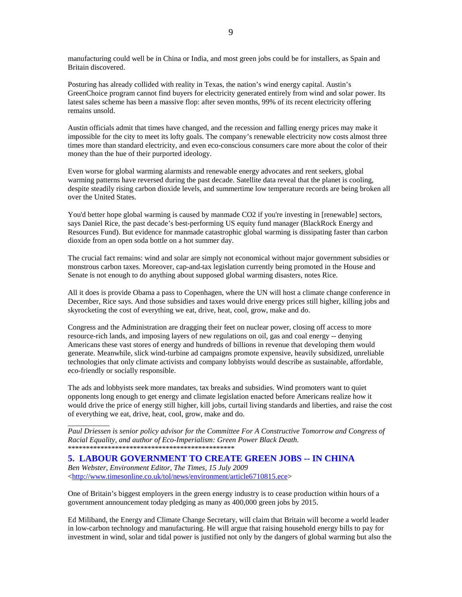manufacturing could well be in China or India, and most green jobs could be for installers, as Spain and Britain discovered.

Posturing has already collided with reality in Texas, the nation's wind energy capital. Austin's GreenChoice program cannot find buyers for electricity generated entirely from wind and solar power. Its latest sales scheme has been a massive flop: after seven months, 99% of its recent electricity offering remains unsold.

Austin officials admit that times have changed, and the recession and falling energy prices may make it impossible for the city to meet its lofty goals. The company's renewable electricity now costs almost three times more than standard electricity, and even eco-conscious consumers care more about the color of their money than the hue of their purported ideology.

Even worse for global warming alarmists and renewable energy advocates and rent seekers, global warming patterns have reversed during the past decade. Satellite data reveal that the planet is cooling, despite steadily rising carbon dioxide levels, and summertime low temperature records are being broken all over the United States.

You'd better hope global warming is caused by manmade CO2 if you're investing in [renewable] sectors, says Daniel Rice, the past decade's best-performing US equity fund manager (BlackRock Energy and Resources Fund). But evidence for manmade catastrophic global warming is dissipating faster than carbon dioxide from an open soda bottle on a hot summer day.

The crucial fact remains: wind and solar are simply not economical without major government subsidies or monstrous carbon taxes. Moreover, cap-and-tax legislation currently being promoted in the House and Senate is not enough to do anything about supposed global warming disasters, notes Rice.

All it does is provide Obama a pass to Copenhagen, where the UN will host a climate change conference in December, Rice says. And those subsidies and taxes would drive energy prices still higher, killing jobs and skyrocketing the cost of everything we eat, drive, heat, cool, grow, make and do.

Congress and the Administration are dragging their feet on nuclear power, closing off access to more resource-rich lands, and imposing layers of new regulations on oil, gas and coal energy -- denying Americans these vast stores of energy and hundreds of billions in revenue that developing them would generate. Meanwhile, slick wind-turbine ad campaigns promote expensive, heavily subsidized, unreliable technologies that only climate activists and company lobbyists would describe as sustainable, affordable, eco-friendly or socially responsible.

The ads and lobbyists seek more mandates, tax breaks and subsidies. Wind promoters want to quiet opponents long enough to get energy and climate legislation enacted before Americans realize how it would drive the price of energy still higher, kill jobs, curtail living standards and liberties, and raise the cost of everything we eat, drive, heat, cool, grow, make and do.

\_\_\_\_\_\_\_\_\_\_\_ *Paul Driessen is senior policy advisor for the Committee For A Constructive Tomorrow and Congress of Racial Equality, and author of Eco-Imperialism: Green Power Black Death.*  \*\*\*\*\*\*\*\*\*\*\*\*\*\*\*\*\*\*\*\*\*\*\*\*\*\*\*\*\*\*\*\*\*\*\*\*\*\*\*\*\*\*\*\*\*\*

**5. LABOUR GOVERNMENT TO CREATE GREEN JOBS -- IN CHINA**  *Ben Webster, Environment Editor, The Times, 15 July 2009*  <http://www.timesonline.co.uk/tol/news/environment/article6710815.ece>

One of Britain's biggest employers in the green energy industry is to cease production within hours of a government announcement today pledging as many as 400,000 green jobs by 2015.

Ed Miliband, the Energy and Climate Change Secretary, will claim that Britain will become a world leader in low-carbon technology and manufacturing. He will argue that raising household energy bills to pay for investment in wind, solar and tidal power is justified not only by the dangers of global warming but also the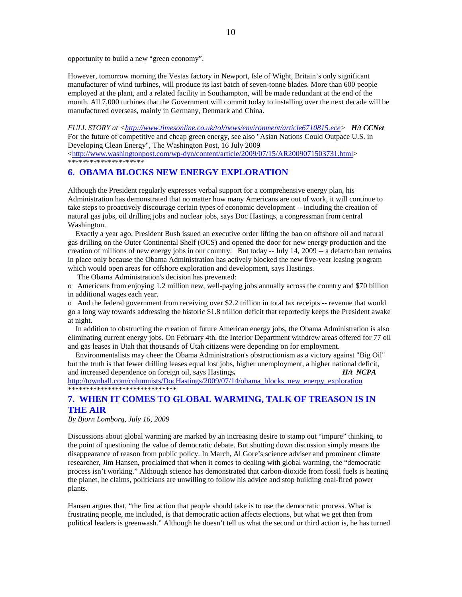opportunity to build a new "green economy".

However, tomorrow morning the Vestas factory in Newport, Isle of Wight, Britain's only significant manufacturer of wind turbines, will produce its last batch of seven-tonne blades. More than 600 people employed at the plant, and a related facility in Southampton, will be made redundant at the end of the month. All 7,000 turbines that the Government will commit today to installing over the next decade will be manufactured overseas, mainly in Germany, Denmark and China.

*FULL STORY at <http://www.timesonline.co.uk/tol/news/environment/article6710815.ece> H/t CCNet* For the future of competitive and cheap green energy, see also "Asian Nations Could Outpace U.S. in Developing Clean Energy", The Washington Post, 16 July 2009  $\langle$ http://www.washingtonpost.com/wp-dyn/content/article/2009/07/15/AR2009071503731.html> \_<br>\*\*\*\*\*\*\*\*\*\*\*\*\*\*\*\*\*\*\*\*\*\*

# **6. OBAMA BLOCKS NEW ENERGY EXPLORATION**

Although the President regularly expresses verbal support for a comprehensive energy plan, his Administration has demonstrated that no matter how many Americans are out of work, it will continue to take steps to proactively discourage certain types of economic development -- including the creation of natural gas jobs, oil drilling jobs and nuclear jobs, says Doc Hastings, a congressman from central Washington.

 Exactly a year ago, President Bush issued an executive order lifting the ban on offshore oil and natural gas drilling on the Outer Continental Shelf (OCS) and opened the door for new energy production and the creation of millions of new energy jobs in our country. But today -- July 14, 2009 -- a defacto ban remains in place only because the Obama Administration has actively blocked the new five-year leasing program which would open areas for offshore exploration and development, says Hastings.

The Obama Administration's decision has prevented:

o Americans from enjoying 1.2 million new, well-paying jobs annually across the country and \$70 billion in additional wages each year.

o And the federal government from receiving over \$2.2 trillion in total tax receipts -- revenue that would go a long way towards addressing the historic \$1.8 trillion deficit that reportedly keeps the President awake at night.

 In addition to obstructing the creation of future American energy jobs, the Obama Administration is also eliminating current energy jobs. On February 4th, the Interior Department withdrew areas offered for 77 oil and gas leases in Utah that thousands of Utah citizens were depending on for employment.

 Environmentalists may cheer the Obama Administration's obstructionism as a victory against "Big Oil" but the truth is that fewer drilling leases equal lost jobs, higher unemployment, a higher national deficit, and increased dependence on foreign oil, says Hastings*. H/t NCPA* http://townhall.com/columnists/DocHastings/2009/07/14/obama\_blocks\_new\_energy\_exploration

\*\*\*\*\*\*\*\*\*\*\*\*\*\*\*\*\*\*\*\*\*\*\*\*\*\*\*\*\*\*

# **7. WHEN IT COMES TO GLOBAL WARMING, TALK OF TREASON IS IN THE AIR**

*By Bjorn Lomborg, July 16, 2009* 

Discussions about global warming are marked by an increasing desire to stamp out "impure" thinking, to the point of questioning the value of democratic debate. But shutting down discussion simply means the disappearance of reason from public policy. In March, Al Gore's science adviser and prominent climate researcher, Jim Hansen, proclaimed that when it comes to dealing with global warming, the "democratic process isn't working." Although science has demonstrated that carbon-dioxide from fossil fuels is heating the planet, he claims, politicians are unwilling to follow his advice and stop building coal-fired power plants.

Hansen argues that, "the first action that people should take is to use the democratic process. What is frustrating people, me included, is that democratic action affects elections, but what we get then from political leaders is greenwash." Although he doesn't tell us what the second or third action is, he has turned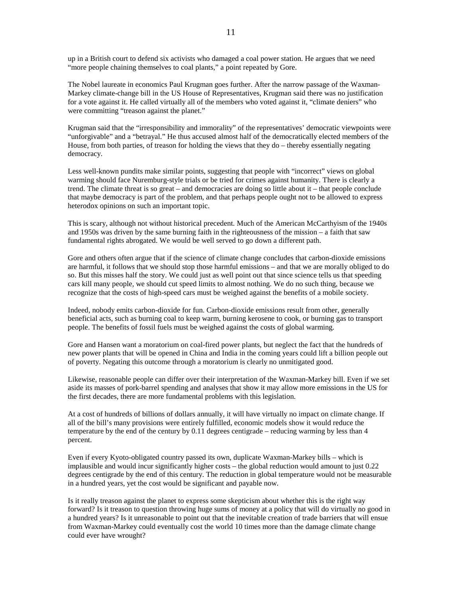up in a British court to defend six activists who damaged a coal power station. He argues that we need "more people chaining themselves to coal plants," a point repeated by Gore.

The Nobel laureate in economics Paul Krugman goes further. After the narrow passage of the Waxman-Markey climate-change bill in the US House of Representatives, Krugman said there was no justification for a vote against it. He called virtually all of the members who voted against it, "climate deniers" who were committing "treason against the planet."

Krugman said that the "irresponsibility and immorality" of the representatives' democratic viewpoints were "unforgivable" and a "betrayal." He thus accused almost half of the democratically elected members of the House, from both parties, of treason for holding the views that they do – thereby essentially negating democracy.

Less well-known pundits make similar points, suggesting that people with "incorrect" views on global warming should face Nuremburg-style trials or be tried for crimes against humanity. There is clearly a trend. The climate threat is so great – and democracies are doing so little about it – that people conclude that maybe democracy is part of the problem, and that perhaps people ought not to be allowed to express heterodox opinions on such an important topic.

This is scary, although not without historical precedent. Much of the American McCarthyism of the 1940s and 1950s was driven by the same burning faith in the righteousness of the mission – a faith that saw fundamental rights abrogated. We would be well served to go down a different path.

Gore and others often argue that if the science of climate change concludes that carbon-dioxide emissions are harmful, it follows that we should stop those harmful emissions – and that we are morally obliged to do so. But this misses half the story. We could just as well point out that since science tells us that speeding cars kill many people, we should cut speed limits to almost nothing. We do no such thing, because we recognize that the costs of high-speed cars must be weighed against the benefits of a mobile society.

Indeed, nobody emits carbon-dioxide for fun. Carbon-dioxide emissions result from other, generally beneficial acts, such as burning coal to keep warm, burning kerosene to cook, or burning gas to transport people. The benefits of fossil fuels must be weighed against the costs of global warming.

Gore and Hansen want a moratorium on coal-fired power plants, but neglect the fact that the hundreds of new power plants that will be opened in China and India in the coming years could lift a billion people out of poverty. Negating this outcome through a moratorium is clearly no unmitigated good.

Likewise, reasonable people can differ over their interpretation of the Waxman-Markey bill. Even if we set aside its masses of pork-barrel spending and analyses that show it may allow more emissions in the US for the first decades, there are more fundamental problems with this legislation.

At a cost of hundreds of billions of dollars annually, it will have virtually no impact on climate change. If all of the bill's many provisions were entirely fulfilled, economic models show it would reduce the temperature by the end of the century by 0.11 degrees centigrade – reducing warming by less than 4 percent.

Even if every Kyoto-obligated country passed its own, duplicate Waxman-Markey bills – which is implausible and would incur significantly higher costs – the global reduction would amount to just 0.22 degrees centigrade by the end of this century. The reduction in global temperature would not be measurable in a hundred years, yet the cost would be significant and payable now.

Is it really treason against the planet to express some skepticism about whether this is the right way forward? Is it treason to question throwing huge sums of money at a policy that will do virtually no good in a hundred years? Is it unreasonable to point out that the inevitable creation of trade barriers that will ensue from Waxman-Markey could eventually cost the world 10 times more than the damage climate change could ever have wrought?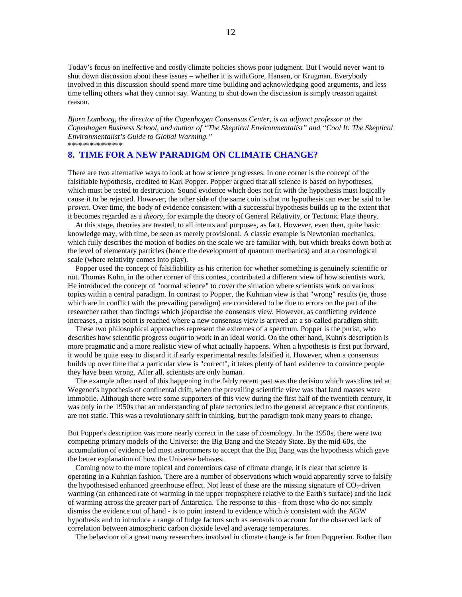Today's focus on ineffective and costly climate policies shows poor judgment. But I would never want to shut down discussion about these issues – whether it is with Gore, Hansen, or Krugman. Everybody involved in this discussion should spend more time building and acknowledging good arguments, and less time telling others what they cannot say. Wanting to shut down the discussion is simply treason against reason.

*Bjorn Lomborg, the director of the Copenhagen Consensus Center, is an adjunct professor at the Copenhagen Business School, and author of "The Skeptical Environmentalist" and "Cool It: The Skeptical Environmentalist's Guide to Global Warming."*  \*\*\*\*\*\*\*\*\*\*\*\*\*\*\*\*\*\*\*

### **8. TIME FOR A NEW PARADIGM ON CLIMATE CHANGE?**

There are two alternative ways to look at how science progresses. In one corner is the concept of the falsifiable hypothesis, credited to Karl Popper. Popper argued that all science is based on hypotheses, which must be tested to destruction. Sound evidence which does not fit with the hypothesis must logically cause it to be rejected. However, the other side of the same coin is that no hypothesis can ever be said to be *proven*. Over time, the body of evidence consistent with a successful hypothesis builds up to the extent that it becomes regarded as a *theory*, for example the theory of General Relativity, or Tectonic Plate theory.

 At this stage, theories are treated, to all intents and purposes, as fact. However, even then, quite basic knowledge may, with time, be seen as merely provisional. A classic example is Newtonian mechanics, which fully describes the motion of bodies on the scale we are familiar with, but which breaks down both at the level of elementary particles (hence the development of quantum mechanics) and at a cosmological scale (where relativity comes into play).

 Popper used the concept of falsifiability as his criterion for whether something is genuinely scientific or not. Thomas Kuhn, in the other corner of this contest, contributed a different view of how scientists work. He introduced the concept of "normal science" to cover the situation where scientists work on various topics within a central paradigm. In contrast to Popper, the Kuhnian view is that "wrong" results (ie, those which are in conflict with the prevailing paradigm) are considered to be due to errors on the part of the researcher rather than findings which jeopardise the consensus view. However, as conflicting evidence increases, a crisis point is reached where a new consensus view is arrived at: a so-called paradigm shift.

 These two philosophical approaches represent the extremes of a spectrum. Popper is the purist, who describes how scientific progress *ought* to work in an ideal world. On the other hand, Kuhn's description is more pragmatic and a more realistic view of what actually happens. When a hypothesis is first put forward, it would be quite easy to discard it if early experimental results falsified it. However, when a consensus builds up over time that a particular view is "correct", it takes plenty of hard evidence to convince people they have been wrong. After all, scientists are only human.

 The example often used of this happening in the fairly recent past was the derision which was directed at Wegener's hypothesis of continental drift, when the prevailing scientific view was that land masses were immobile. Although there were some supporters of this view during the first half of the twentieth century, it was only in the 1950s that an understanding of plate tectonics led to the general acceptance that continents are not static. This was a revolutionary shift in thinking, but the paradigm took many years to change.

But Popper's description was more nearly correct in the case of cosmology. In the 1950s, there were two competing primary models of the Universe: the Big Bang and the Steady State. By the mid-60s, the accumulation of evidence led most astronomers to accept that the Big Bang was the hypothesis which gave the better explanation of how the Universe behaves.

 Coming now to the more topical and contentious case of climate change, it is clear that science is operating in a Kuhnian fashion. There are a number of observations which would apparently serve to falsify the hypothesised enhanced greenhouse effect. Not least of these are the missing signature of  $CO<sub>2</sub>$ -driven warming (an enhanced rate of warming in the upper troposphere relative to the Earth's surface) and the lack of warming across the greater part of Antarctica. The response to this - from those who do not simply dismiss the evidence out of hand - is to point instead to evidence which *is* consistent with the AGW hypothesis and to introduce a range of fudge factors such as aerosols to account for the observed lack of correlation between atmospheric carbon dioxide level and average temperatures.

The behaviour of a great many researchers involved in climate change is far from Popperian. Rather than